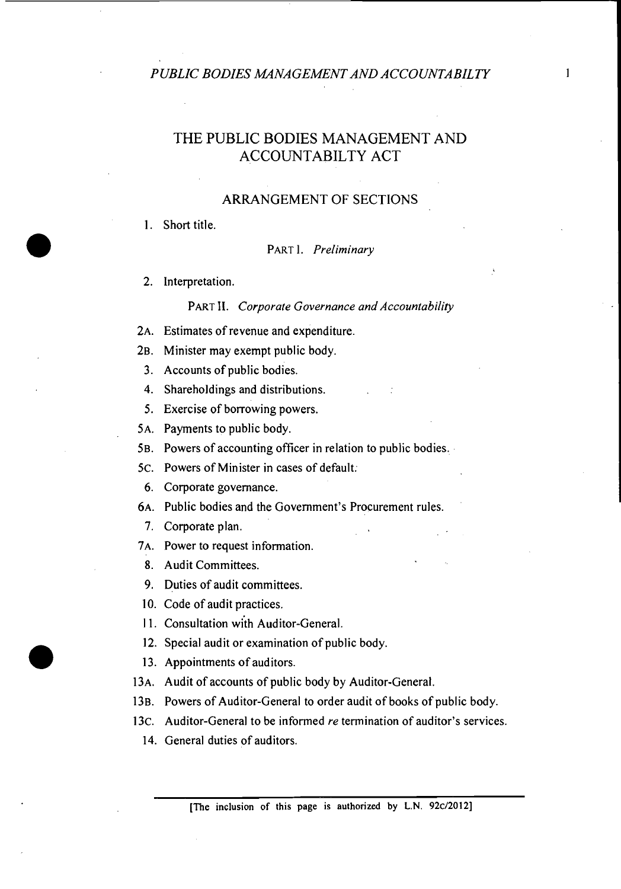# THE PUBLIC BODIES MANAGEMENT AND ACCOUNTABILTY ACT

#### ARRANGEMENT OF SECTIONS

#### **1.** Short title.

PART 1. *Preliminary* 

**2.** Interpretation.

#### PART **11.** *Corporate Governance and Accountability*

- **2A.** Estimates of revenue and expenditure.
- **2B.** Minister may exempt public body.
- **3.** Accounts of public bodies.
- **4.** Shareholdings and distributions.
- **5.** Exercise of borrowing powers.
- **5A.** Payments to public body.
- **5B.** Powers of accounting officer in relation to public bodies.
- **5C.** Powers of Minister in cases of default.
- **6.** Corporate governance.
- **6A.** Public bodies and the Government's Procurement rules.
	- **7.** Corporate plan.
- **7A.** Power to request information.
	- 8. Audit Committees.
	- 9. Duties of audit committees.
- **10.** Code of audit practices.
- <sup>I</sup>1. Consultation with Auditor-General.
- **12.** Special audit or examination of public body.
- **13.** Appointments of auditors.
- 13A. Audit of accounts of public body by Auditor-General.
- 13B. Powers of Auditor-General to order audit of books of public body.
- **13C.** Auditor-General to be informed *re* termination of auditor's services.
	- **14.** General duties of auditors.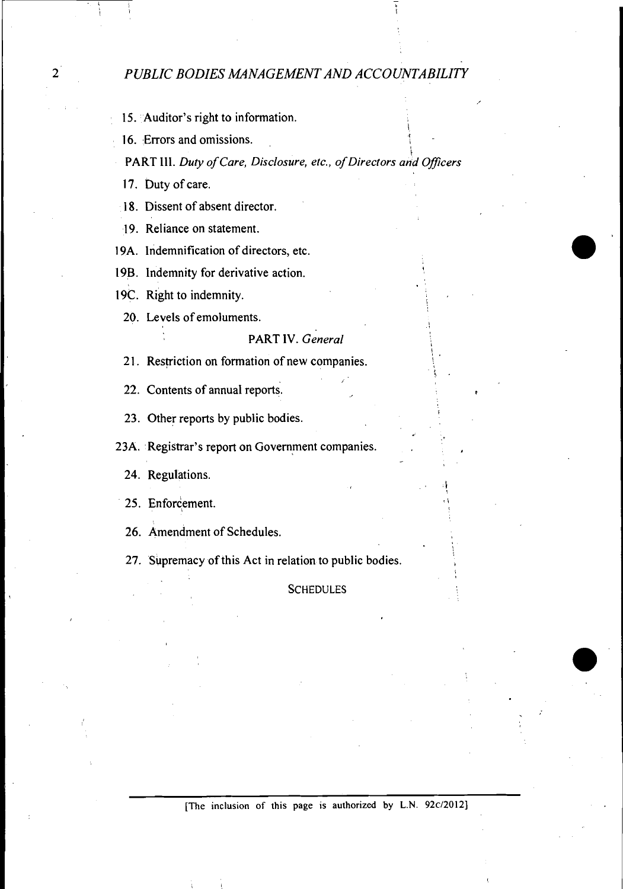15. Auditor's right to information.

16. Errors and omissions.

**i**  PART 111. **Duty** *of Care, Disclosure, etc., of Directors and Oflcers* 

 $\overline{\phantom{a}}$ 

**i** 

**17.** Duty of care.

18. Dissent of absent director.

19. Reliance on statement.

19A. Indemnification of directors, etc.

19B. Indemnity for derivative action.

19C. Right to indemnity.

20. Levels of emoluments.

#### PART IV. *General*

**2** 1. Restriction on formation of new companies.

**22.** Contents of annual reports.

**23.** Other reports by public bodies.

23A. Registrar's report on Government companies.

**24.** Regulations.

25. Enforcement.

**26.** Amendment of Schedules.

**27.** Supremacy of this Act in relation to public bodies. I

**SCHEDULES**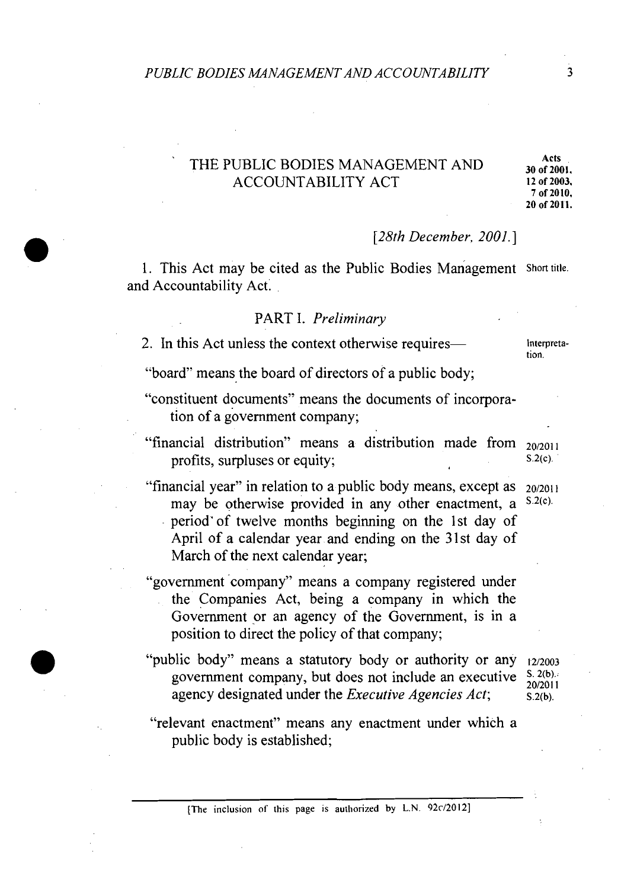## *PUBLIC BODIES MANAGEMENT AND ACCOUNTABILITY* **3**

# THE PUBLIC BODIES MANAGEMENT AND **Acts** ACCOUNTABILITY ACT **12 of 2003.**

**30 of 2001. 7 of 2010.** 

#### *[28th* December, 2001. ]

1. This Act may be cited as the Public Bodies Management Short title. and Accountability Act.

#### PART I. Preliminary

2. In this Act unless the context otherwise requires— interpreta-

tion.

"board" means the board of directors of a public body;

- "constituent documents" means the documents of incorporation of a government company;
- "financial distribution" means a distribution made from 20/2011 profits, surpluses or equity;  $S.2(c)$ .
- "financial year" in relation to a public body means, except as  $20/2011$ may be otherwise provided in any other enactment, a  $S(2(c))$ . period'of twelve months beginning on the 1st day of April of a calendar year and ending on the 31st day of March of the next calendar year;
- "government company" means a company registered under the Companies Act, being a company in which the Government or an agency of the Government, is in a position to direct the policy of that company;
- "public body" means a statutory body or authority or any 12/2003 government company, but does not include an executive  $\frac{S}{20/2011}$ agency designated under the *Executive Agencies Act*;  $\frac{2(26)}{5.2(b)}$ .
- "relevant enactment" means any enactment under which a public body is established;

[The inclusion of this page is authorized by L.N. 92c/2012]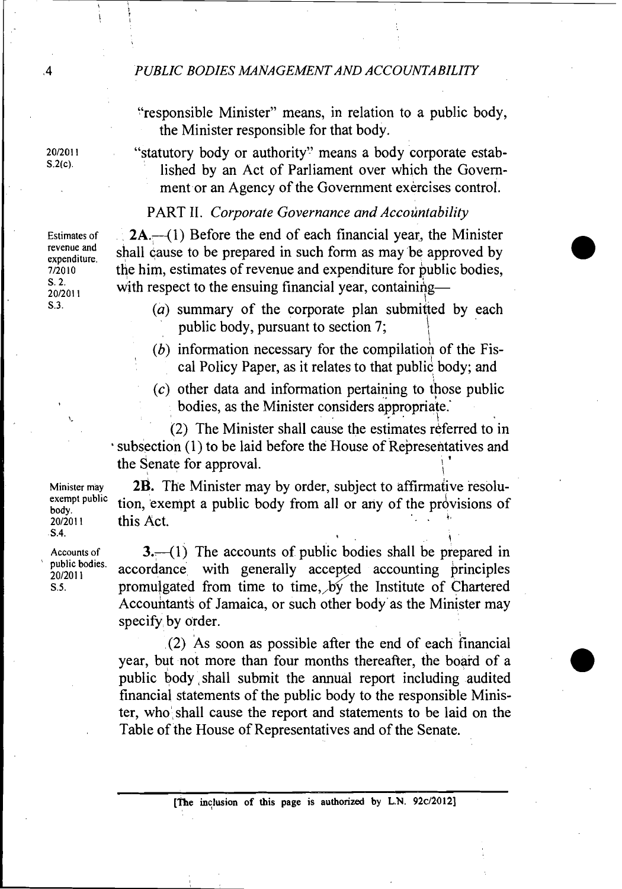#### .4 *PUBLIC BODIES MANAGEMENT AND ACCOUNTABILITY*

:'responsible Minister" means, in relation to a public body, the Minister responsible for that body.

**201201 1** "statutory body or authority" means a body corporate established by an Act of Parliament over which the Government or an Agency of the Government exercises control.

### PART II. Corporate Governance and Accountability

Estimates of  $2A$ .  $-1$ ) Before the end of each financial year, the Minister revenue and shall cause to be prepared in such form as may be approved by expenditure.<br>
The him estimates of revenue and expenditure for public bodies. *7/2010* the him, estimates of revenue and expenditure for public bodies,  $\frac{S. 2}{20/2011}$  with respect to the ensuing financial year, containing—<br> $S<sup>3</sup>$ 

- $(a)$  summary of the corporate plan submitted by each public body, pursuant to section 7; I
- $(b)$  information necessary for the compilation of the Fiscal Policy Paper, as it relates to that public body; and
- *(c)* other data and information pertaining to those public bodies, as the Minister considers appropriate.'

*('2)* The Minister shall cause the estimates referred to in subsection *(1)* to be laid before the House of Representatives and the Senate for approval.

**Min~ster may** *2B.* The Minister may by order, subject to affirmative resoluexempt public tion, exempt a public body from all or any of the provisions of 20/2011 this Act.

**Accounts of** *3.41)* The accounts of public bodies shall be prepared in public bodies. accordance with generally accepted accounting principles Accounts of  $3$ .  $-$ (1) The accounts of public bodies shall be prepared in public bodies.<br>  $\frac{20}{20}$ <br>  $\frac{20}{201}$  accordance with generally accepted accounting principles promulgated from time to time, by the Institute Accountants of Jamaica, or such other body as the Minister may specify by order.

> *(2)* AS soon as possible after the end of each hnancial year, but not more than four months thereafter, the board of a public body shall submit the annual report including audited financial statements of the public body to the responsible Minister, who' shall cause the report and statements to be laid on the Table of the House of Representatives and of the Senate.

**revenue and** 

**exempt public 20/2011** this Act. . S.4. **<sup>1</sup>**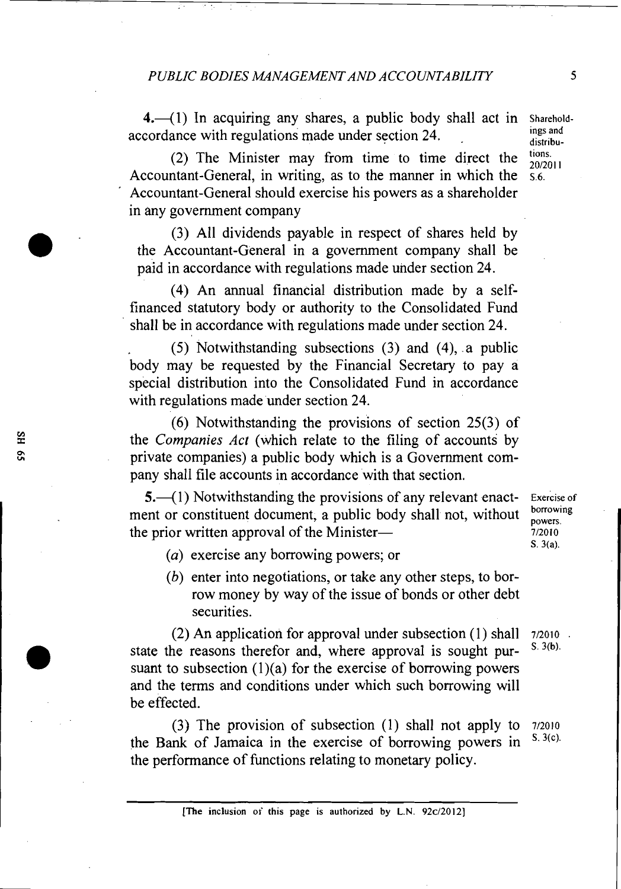**4.** (1) In acquiring any shares, a public body shall act in Shareholdaccordance with regulations made under section 24.

(2) The Minister may from time to time direct the  $\frac{\text{tions}}{20/2011}$ Accountant-General, in writing, as to the manner in which the  $\frac{5.6}{0.6}$ . Accountant-General should exercise his powers as a shareholder in any government company

(3) All dividends payable in respect of shares held by the Accountant-General in a government company shall be paid in accordance with regulations made under section 24.

(4) An annual financial distribution made by a selffinanced statutory body or authority to the Consolidated Fund shall be in accordance with regulations made under section 24.

(5) Notwithstanding subsections (3) and (4), a public body may be requested by the Financial Secretary to pay a special distribution into the Consolidated Fund in accordance with regulations made under section 24.

(6) Notwithstanding the provisions of section 25(3) of the Companies *Act* (which relate to the filing of accounts by private companies) a public body which is a Government company shall file accounts in accordance with that section.

5.<sup>-----</sup>(1) Notwithstanding the provisions of any relevant enact-<br> **Exercise of**  $\alpha$  constituent document a multipled whell not without becoming ment or constituent document, a public body shall not, without **propertion** the prior written approval of the Minister- *P* 

S. **3(a).** 

- (a) exercise any borrowing powers; or
- (b) enter into negotiations, or take any other steps, to borrow money by way of the issue of bonds or other debt securities.

(2) An application for approval under subsection (I) shall **712010** . state the reasons therefor and, where approval is sought pursuant to subsection  $(1)(a)$  for the exercise of borrowing powers and the terms and conditions under which such borrowing will be effected.

(3) The provision of subsection (1) shall not apply to **<sup>712010</sup>** the Bank of Jamaica in the exercise of borrowing powers in the performance of functions relating to monetary policy.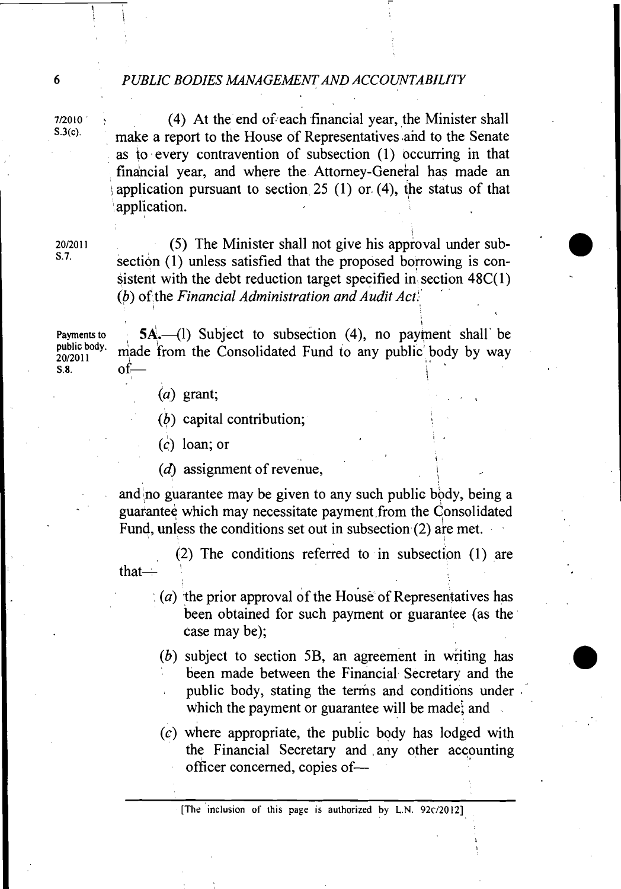#### **6** *PUBLIC BODIES MNAGEMENT AND ACCOUNTABILITY*

 $\frac{7}{2010}$  (4) At the end of each financial year, the Minister shall<br>  $\frac{8.3(c)}{c}$  and the south of the House of Bennesontatives and to the Sonate make a report to the House of Representatives and to the Senate as to every contravention of subsection (1) occurring in that financial year, and where the Attorney-General has made an application pursuant to section 25 (1) or  $(4)$ , the status of that application.

 $20/20/1$  (5) The Minister shall not give his approval under sub-<br>S.7. section (1) unless satisfied that the proposed borrowing is consistent with the debt reduction target specified in section  $48C(1)$ *(6)* of the Financial Administration and Audit Act. '

t

Payments to  $5A$ . (1) Subject to subsection (4), no payment shall be public body, and the form the Cancel idead. public body. made from the Consolidated Fund to any public body by way  $\frac{10}{20/2011}$  of  $\frac{1}{20}$  $\mathbf{S.8} \qquad \qquad \mathbf{of} \qquad \qquad \qquad$ 

 $(a)$  grant;

I

*(b)* capital contribution;

 $(c)$  loan; or

( $d$ ) assignment of revenue,

and no guarantee may be given to any such public body, being a guarantee which may necessitate payment.from the consolidated Fund, unless the conditions set out in subsection (2) are met.

(2) The conditions referred to in subsection (1) are that-

- $(a)$  the prior approval of the House of Representatives has been obtained for such payment or guarantee (as the case may be);
- $(b)$  subject to section 5B, an agreement in writing has been made between the Financial Secretary and the public body, stating the terms and conditions under . which the payment or guarantee will be made, and

(c) where appropriate, the public body has lodged with the Financial Secretary and .any other accounting officer concerned, copies of-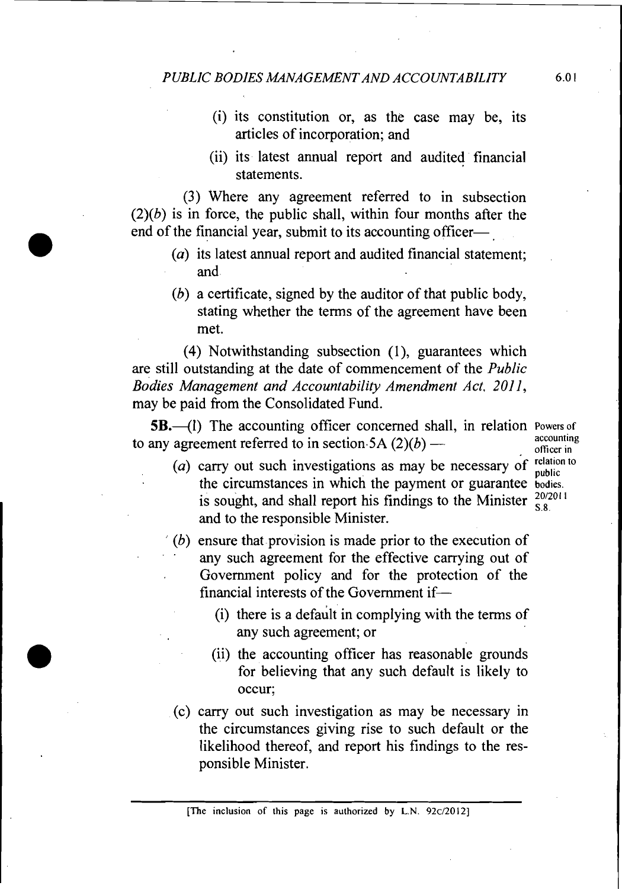- (i) its constitution or, as the case may be, its articles of incorporation; and
- (ii) its latest annual report and audited financial statements.

(3) Where any agreement referred to in subsection  $(2)(b)$  is in force, the public shall, within four months after the end of the financial year, submit to its accounting officer-

- (a) its latest annual report and audited financial statement; and.
- (b) a certificate, signed by the auditor of that public body, stating whether the terms of the agreement have been met.

(4) Notwithstanding subsection (I), guarantees which are still outstanding at the date of commencement of the Public Bodies Management and Accountability Amendment Act, 2011, may be paid from the Consolidated Fund.

**5B.**-(1) The accounting officer concerned shall, in relation Powers of the accounting officer concerned shall, in relation Powers of<br>to any agreement referred to in section.5A  $(2)(b)$  — accounting<br>officer in **officer in** 

- ( $a$ ) carry out such investigations as may be necessary of relation to the circumstances in which the payment or guarantee **bodies** is sought, and shall report his findings to the Minister  $\frac{20/2011}{5.8}$ and to the responsible Minister.
- $(b)$  ensure that provision is made prior to the execution of any such agreement for the effective carrying out of . Government policy and for the protection of the financial interests of the Government if-
	- (i) there is a default in complying with the terms of any such agreement; or
	- (ii) the accounting officer has reasonable grounds for believing that any such default is likely to occur;
- (c) carry out such investigation as may be necessary in the circumstances giving rise to such default or the likelihood thereof, and report his findings to the responsible Minister.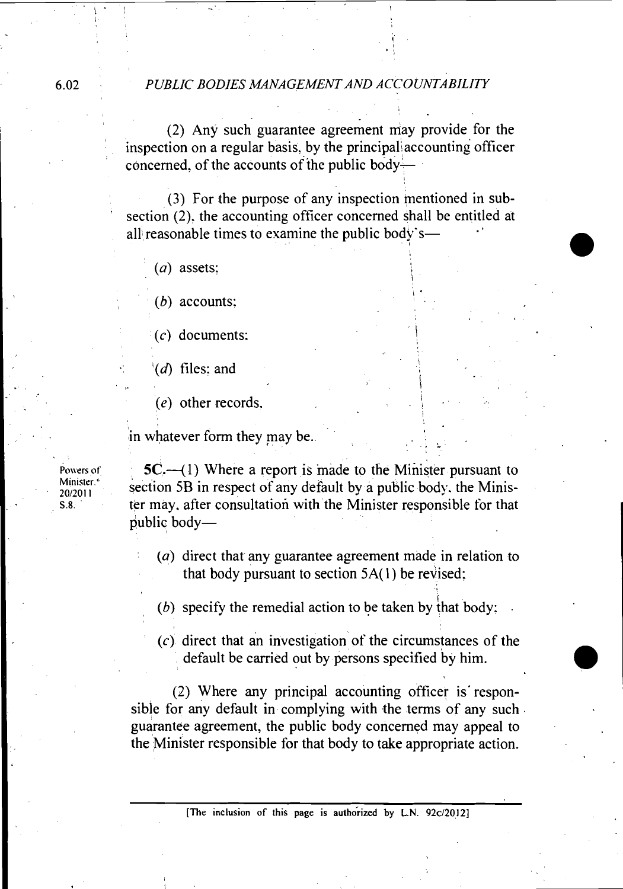#### **6.02** *PUBLIC BODIES MANAGEMENT AND ACCOUNTABILITY*

*(2)* Any such guarantee agreement may provide for the inspection on a regular basis, by the principal accounting officer concerned, of the accounts of the public body-

(3) For the purpose of any inspection mentioned in sub section (2), the accounting officer concerned shall be entitled at all reasonable times to examine the public body's-

*(a)* assets:

*(b)* accounts:

*(c)* documents:

 $^{\text{t}}(d)$  files: and

*(e)* other records. \.

in whatever form they may be.

Powers of Minister.<sup>4</sup> 20/2011 S.8.

**5C.**—(1) Where a report is made to the Minister pursuant to section 5B in respect of any default by a public body. the Minister may. after consultation with the Minister responsible for that public body-

*(a)* direct that any guarantee agreement made in relation to that body pursuant to section  $5A(1)$  be revised;

1

**I-**

*(6)* specify the remedial action to be taken by that body: .

 $(c)$  direct that an investigation of the circumstances of the default be carried out by persons specified by him.

*(2)* Where any principal accounting officer is' responsible for any default in complying with the terms of any such. guarantee agreement, the public body concerned may appeal to the Minister responsible for that body to take appropriate action.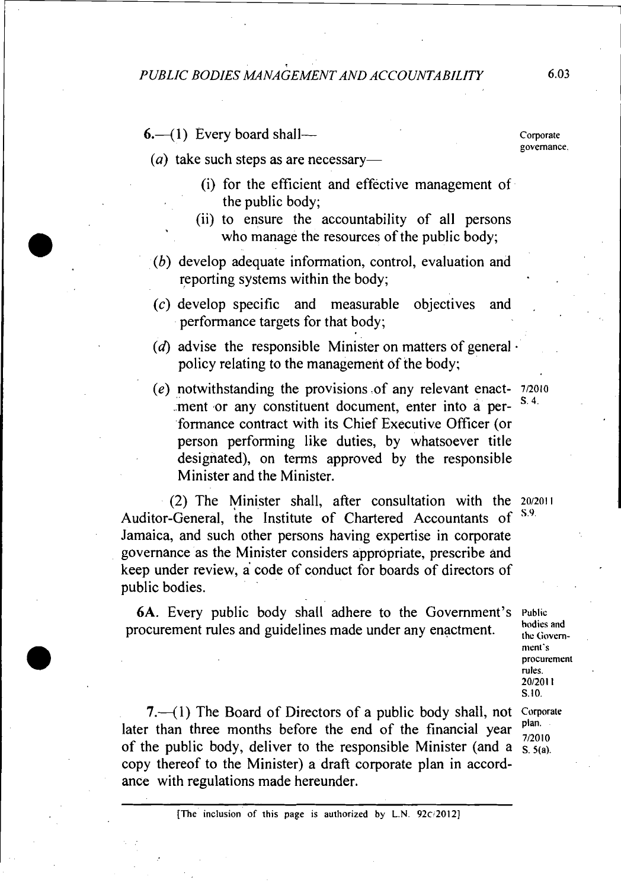$6.$ —(1) Every board shall—

 $(a)$  take such steps as are necessary-

- (i) for the efficient and effective management of the public body;
- (ii) to ensure the accountability of all persons who manage the resources of the public body;
- (6) develop adequate information, control, evaluation and reporting systems within the body;
- $(c)$  develop specific and measurable objectives and performance targets for that body;
- (d) advise the responsible Minister on matters of general  $\cdot$ policy relating to the management of the body;
- *(e)* notwithstanding the provisions .of any relevant enact- **<sup>712010</sup>** .ment or any constituent document, enter into a per-S 4 formance contract with its Chief Executive Officer (or person performing like duties, by whatsoever title designated), on terms approved by the responsible Minister and the Minister.

(2) The Minister shall, after consultation with the  $20/2011$ <br> **Consent the Institute of Chartered** Accountants of  $5.9$ Auditor-General, the Institute of Chartered Accountants of Jamaica, and such other persons having expertise in corporate governance as the Minister considers appropriate, prescribe and keep under review, a code of conduct for boards of directors of public bodies.

6A. Every public body shall adhere to the Government's **Public**  procurement rules and guidelines made under any enactment. **hodies** and  $_{\text{the Government}}$ 

**7.**-(1) The Board of Directors of a public body shall, not Corporate later than three months before the end of the financial year  $\frac{plan}{7/2010}$ of the public body, deliver to the responsible Minister (and a  $\frac{72010}{S_2(6)}$ copy thereof to the Minister) a draft corporate plan in accordance with regulations made hereunder.

**nient's procurement rules.**   $S.10.$ 

**Corporate governance.**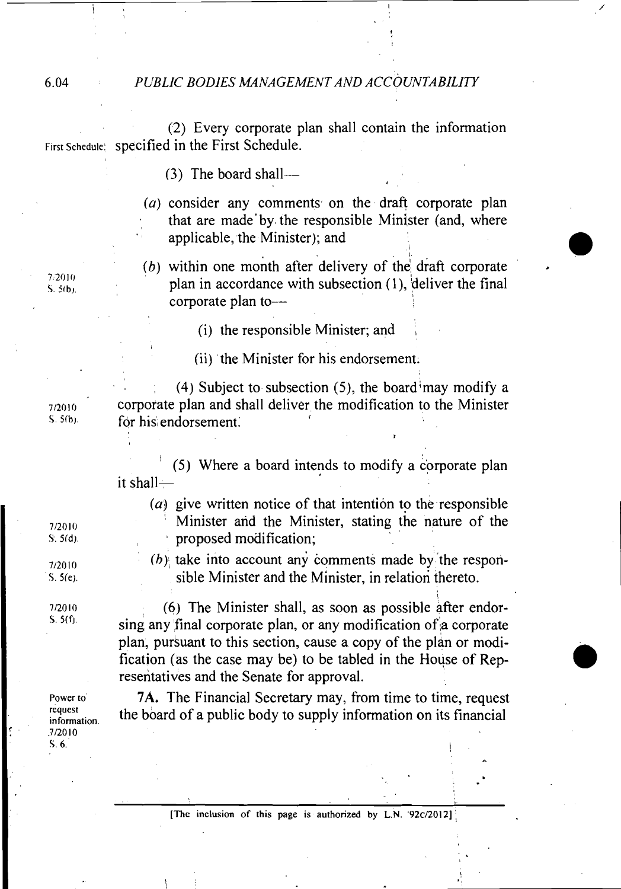#### 6.04 *PUBLIC BODIES MANAGEMENT AND ACCOUNTABILITY*

(2) Every corporate plan shall contain the information First Schedule: **Specified in the First Schedule.** 

 $(3)$  The board shall-

 $(a)$  consider any comments on the draft corporate plan that are made'by the responsible Minister (and, where applicable, the Minister); and

(b) within one month after delivery of the draft corporate plan in accordance with subsection  $(1)$ , deliver the final corporate plan to--

(i) the responsible Minister; and

(ii) the Minister for his endorsement.

(4) Subject to subsection (5), the board may modify a corporate plan and shall deliver the modification to the Minister for his endorsement.

 $(5)$  Where a board intends to modify a corporate plan it shall-

( $a$ ) give written notice of that intention to the responsible Minister and the Minister, stating the nature of the proposed modification;

**I** 

*(h),* take into account any comments made by 'the responsible Minister and the Minister, in relation thereto.

(6) The Minister shall, as soon as possible after endorsing any final corporate plan, or any modification of a corporate plan, pursuant to this section, cause a copy of the plan or modification (as the case may be) to be tabled in the House of Representatives and the Senate for approval.

**7A.** The Financial Secretary may, from time to time, request the board of a public body to supply information on its financial

7/2010  $S.5(b)$ 

7/2010  $S.5(b)$ .

7/2010  $S. 5(d)$ .

7/2010  $S. 5(e)$ .

7/2010  $S. 5(f).$ 

**Power to' request information .7/20lO S.** *6.*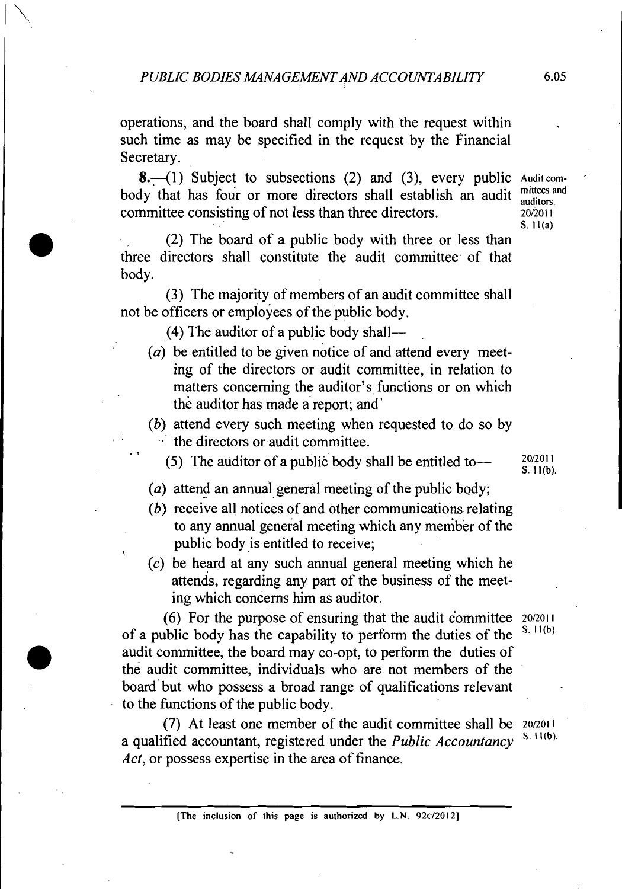operations, and the board shall comply with the request within such time as may be specified in the request by the Financial Secretary.

**8.**--(1) Subject to subsections (2) and (3), every public Audition-<br>du that has four or more directors shall establish on sudit mittees and body that has four or more directors shall establish an audit mittees a committee consisting of not less than three directors. 20/2011

(2) The board of a public body with three or less than three directors shall constitute the audit committee of that body.

(3) The majority of members of an audit committee shall not be officers or employees of the public body.

 $(4)$  The auditor of a public body shall--

**.t** 

- ( $a$ ) be entitled to be given notice of and attend every meeting of the directors or audit committee, in relation to matters concerning the auditor's functions or on which the auditor has made a report; and
- (b) attend every such meeting when requested to do so by  $\cdot$  the directors or audit committee.

(5) The auditor of a public body shall be entitled to  $\frac{20/2011}{S, 11(b)}$ 

- (a) attend an annual general meeting of the public body;
- (b) receive all notices of and other communications relating to any annual general meeting which any member of the public body is entitled to receive;
- (c) be heard at any such annual general meeting which he attends, regarding any part of the business of the meeting which concerns him as auditor.

 $(6)$  For the purpose of ensuring that the audit committee  $20/2011$ <br>
also had a heather consult literature of ensuring the detical of the  $(5,11/6)$ . of a public body has the capability to perform the duties of the audit committee, the board may co-opt, to perform the duties of the audit committee, individuals who are not members of the board'but who possess a broad range of qualifications relevant to the functions of the public body.

(7) At least one member of the audit committee shall be  $20/2011$ a qualified accountant, registered under the *Public Accountancy* Act, or possess expertise in the area of finance.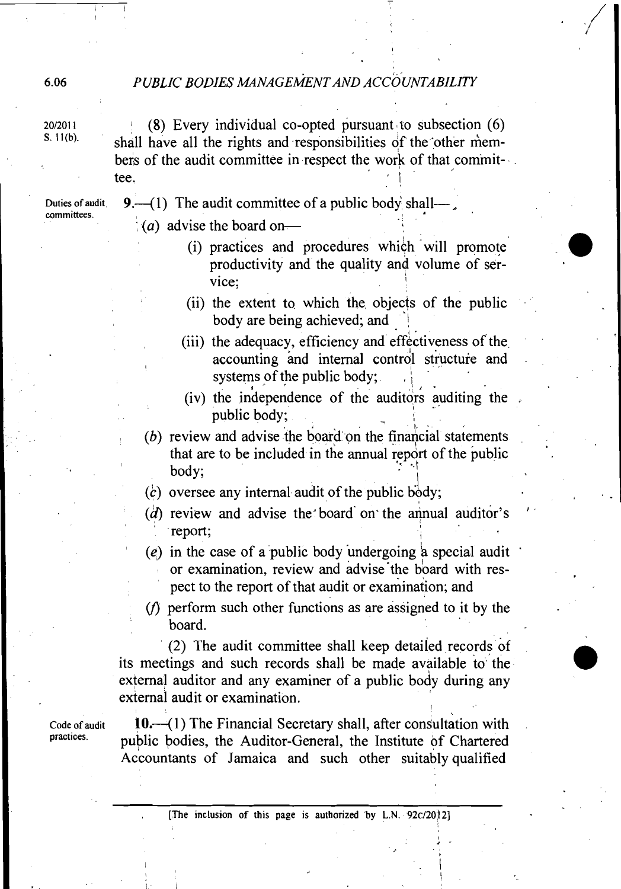## PUBLIC BODIES MANAGEMENT AND ACCOUNTABILITY

20/2011 **I** (8) Every individual co-opted pursuant to subsection (6) S. 11(b). shall have all the rights and responsibilities of the 'other members of the audit committee in respect the work of that commit- $\cdot$ . tee.

Duties of audit **9.**  $-$ (1) The audit committee of a public body shall- $-$ , **committees.** 

 $(a)$  advise the board on-

- (i) practices and procedures which will promote productivity and the quality and volume of service:
- (ii) the extent to which the objects of the public body are being achieved; and  $\cdot$  .
- (iii) the adequacy, efficiency and effectiveness of the accounting and internal control structure and systems of the public body; I'
- (iv) the inhependence of the auditors auditing the I -' public body; ,
- $(b)$  review and advise the board on the financial statements that are to be included in the annual report of the public body;
- *(c)* oversee any internal audit of the public body;
- $(d)$  review and advise the board on the annual auditor's report;
- (e) in the case of a public body undergoing a special audit or examination, review and advise the board with respect to the report of that audit or examination; and
- $(f)$  perform such other functions as are assigned to it by the board.

(2) The audit committee shall keep detailed records of its meetings and such records shall be made available to the external auditor and any examiner of a public body during any external audit or examination.

**Code of audit 10.4** 1) The Financial Secretary shall, after consultation with practices. **public bodies, the Auditor-General, the Institute of Chartered** Accountants of Jamaica and such other suitably qualified

**t**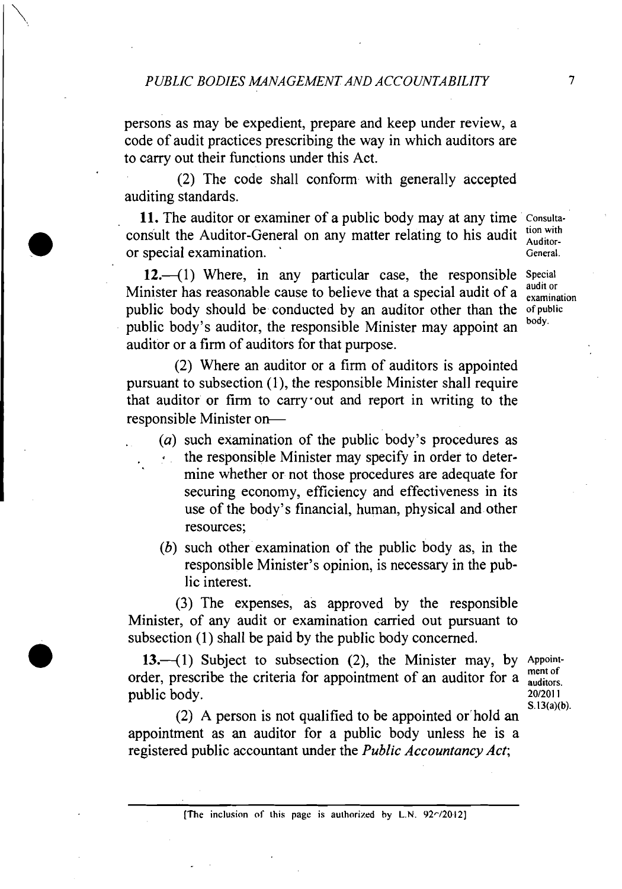persons as may be expedient, prepare and keep under review, a code of audit practices prescribing the way in which auditors are to carry out their functions under this Act.

(2) The code shall conform with generally accepted auditing standards.

11. The auditor or examiner of a public body may at any time Consultaconsult the Auditor-General on any matter relating to his audit  $\frac{\text{tion with}}{\text{Additor}}$ or special examination.

 $12.-(1)$  Where, in any particular case, the responsible Special Minister has reasonable cause to believe that a special audit of a  $\frac{1}{\text{examination}}$ public body should be conducted by an auditor other than the ofpublic public body's auditor, the responsible Minister may appoint an auditor or a firm of auditors for that purpose.

(2) Where an auditor or a firm of auditors is appointed pursuant to subsection (I), the responsible Minister shall require that auditor or firm to carry out and report in writing to the responsible Minister on-

- . (a) such examination of the public body's procedures as  $\cdot$  the responsible Minister may specify in order to determine whether or not those procedures are adequate for securing economy, efficiency and effectiveness in its use of the body's financial, human, physical and other resources;
- (b) such other examination of the public body as, in the responsible Minister's opinion, is necessary in the public interest.

**(3)** The expenses, as approved by the responsible Minister, of any audit or examination carried out pursuant to subsection (1) shall be paid by the public body concerned.

13. $-(1)$  Subject to subsection (2), the Minister may, by Appointorder, prescribe the criteria for appointment of an auditor for a  $\frac{\text{ment of}}{\text{auditors}}$ public body. 20/2011

S. 13(a)(b).

(2) A person is not qualified to be appointed or'hold an appointment as an auditor for a public body unless he is a registered public accountant under the Public Accountancy Act;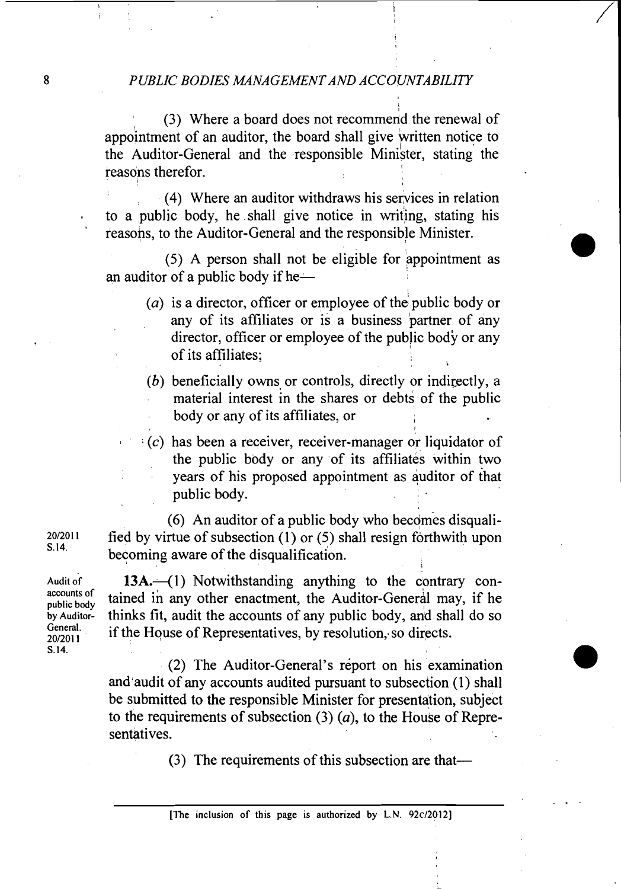(3) Where a board does not recommend the renewal of appointment of an auditor, the board shall give written notice to the Auditor-General and the responsible Minister, stating the reasons therefor.

(4) Where an auditor withdraws his services in relation to a public body, he shall give notice in writing, stating his ' reasons, to the Auditor-General and the responsible Minister.

(5) A person shall not be eligible for appointment as an auditor of a public body if he $-$ 

- (*a*) is a director, officer or employee of the public body or any of its affiliates or is a business partner of any director, officer or employee of the public body or any of its affiliates; **i**
- (b) beneficially owns or controls, directly or indirectly, a material interest in the shares or debts of the public body or any of its affiliates, or

1

<sup>I</sup>*(c)* has been a receiver, receiver-manager or liquidator of the public body or any of its affiliates within two years of his proposed appointment as auditor of that public body.

(6) An auditor of a public body who becomes disqualified by virtue of subsection (1) or (5) shall resign forthwith upon becoming aware of the disqualification.

13A.<sup>-</sup>(1) Notwithstanding anything to the contrary contained in any other enactment, the Auditor-General may, if he thinks fit, audit the accounts of any public body, and shall do so if the House of Representatives, by resolution, so directs.

(2) The Auditor-General's report on his examination and audit of any accounts audited pursuant to subsection (1) shall be submitted to the responsible Minister for presentation, subject to the requirements of subsection (3) **(a),** to the House of Representatives.

(3) The requirements of this subsection are that-

20/2011 S. 14.

Audit of accounts of public body by Auditor-General. 20/2011 S.14.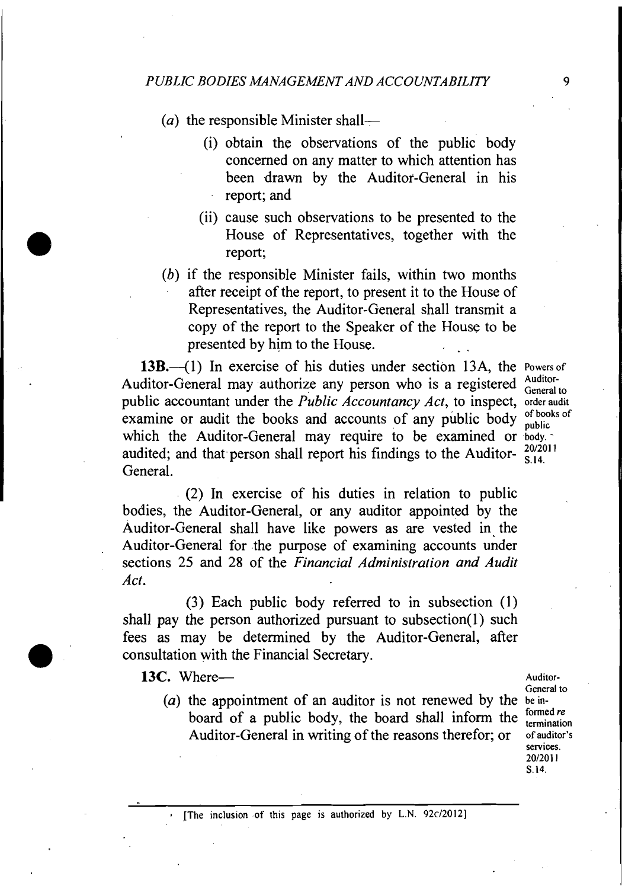(a) the responsible Minister shall-

- (i) obtain the observations of the public' body concerned on any matter to which attention has been drawn by the Auditor-General in his report; and
- (ii) cause such observations to be presented to the House of Representatives, together with the report;
- (b) if the responsible Minister fails, within two months after receipt of the report, to present it to the House of Representatives, the Auditor-General shall transmit a copy of the report to the Speaker of the House to be presented by him to the House.

13B.<sup>-4</sup>(1) In exercise of his duties under section 13A, the **Powers of** ditan Gaussal may surprise any parameter is a provident a Auditor-Auditor-General may authorize any person who is a registered <sup>Auditor-</sup> public accountant under the *Public Accountancy Act*, to inspect, order audit examine or audit the books and accounts of any public body public which the Auditor-General may require to be examined or **body**. audited; and that person shall report his findings to the Auditor- $\frac{20/2011}{S,14}$ which the Auditor-General may require to be examined or  $\frac{body}{100}$  audited; and that person shall report his findings to the Auditor- $\frac{20/2011}{S.14}$ .

(2) In exercise of his duties in relation to public bodies, the Auditor-General, or any auditor appointed by the Auditor-General shall have like powers as are vested in the Auditor-General for the purpose of examining accounts under sections 25 and 28 of the *Financial Administration and Audit* Act.

(3) Each public body referred to in subsection (1) shall pay the person authorized pursuant to subsection(1) such fees **as** may be determined by the Auditor-General, after consultation with the Financial Secretary.

13C. Where-*Auditor-*

(a) the appointment of an auditor is not renewed by the **bein**board of a public body, the board shall inform the termination Auditor-General in writing of the reasons therefor; or **of auditor's** 

**General to services.**  201201 **<sup>1</sup>** S.14.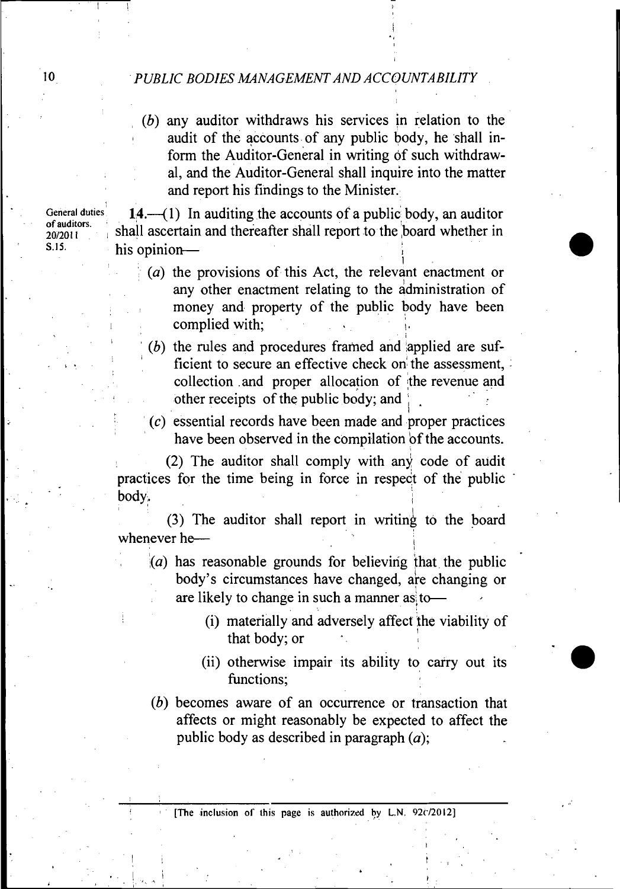(b) any auditor withdraws his services in relation to the audit of the accounts of any public body, he shall inform the Auditor-General in writing of such withdrawal, and the Auditor-General shall inquire into the matter and report his findings to the Minister.

General duties  $14.-(1)$  In auditing the accounts of a public body, an auditor <sup>of auditors.</sup> shall ascertain and thereafter shall report to the **board** whether in S.15. his opinion-

- $(a)$  the provisions of this Act, the relevant enactment or any other enactment relating to the administration of money and property of the public body have been complied with;
- $(b)$  the rules and procedures framed and applied are sufficient to secure an effective check on the assessment, collection and proper allocation of the revenue and other receipts of the public body; and

 $(c)$  essential records have been made and proper practices have been observed in the compilation of the accounts.

(2) The auditor shall comply with any code of audit practices for the time being in force in respect of the public body. In the case of the contract of the contract of the contract of the contract of the contract of the contract of the contract of the contract of the contract of the contract of the contract of the contract of the contr

(3) The auditor shall report in writing to the board whenever he-

- $(a)$  has reasonable grounds for believing that the public body's circumstances have changed, are changing or are likely to change in such a manner as to-
	- (i) materially and adversely affect the viability of that body; or
	- (ii) otherwise impair its ability to carry out its functions:
- (b) becomes aware of an occurrence or transaction that affects or might reasonably be expected to affect the public body as described in paragraph  $(a)$ ;

of auditors.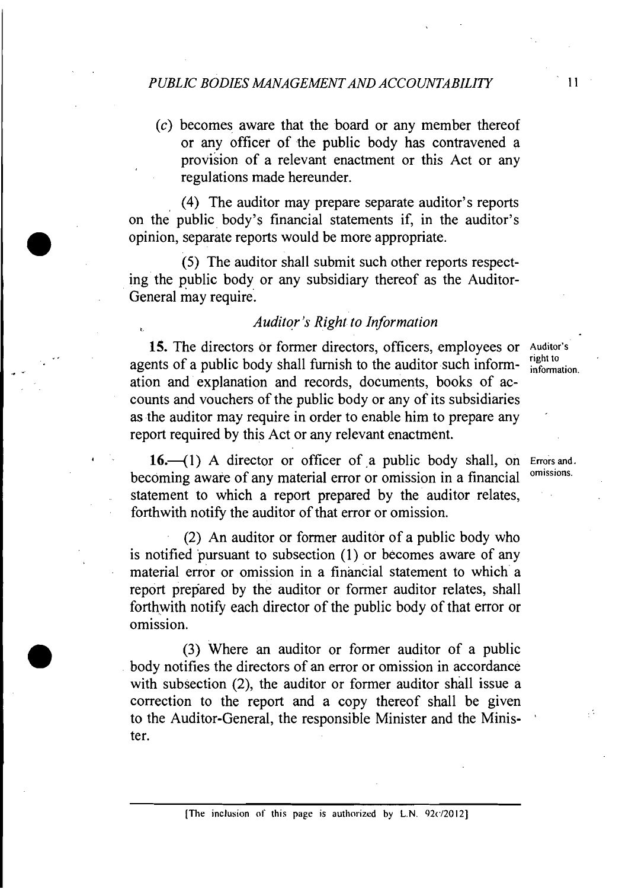(c) becomes aware that the board or any member thereof or any officer of the public body has contravened a provision of a relevant enactment or this Act or any regulations made hereunder.

(4) The auditor may prepare separate auditor's reports on the public body's financial statements if, in the auditor's opinion, separate reports would be more appropriate.

(5) The auditor shall submit such other reports respecting the public body or any subsidiary thereof as the Auditor-General may require.

# *Auditor's Right to Information*

15. The directors or former directors, officers, employees or Auditor's agents of a public body shall furnish to the auditor such inform-  $\frac{right to}{information}$ ation and explanation and records, documents, books of accounts and vouchers of the public body or any of its subsidiaries as the auditor may require in order to enable him to prepare any ' report required by this Act or any relevant enactment.

16.<sup>-</sup>(1) A director or officer of a public body shall, on *Errors* and *a* conjugate of  $\alpha$  and  $\alpha$  is a financial of  $\alpha$  is a financial of  $\alpha$  is a financial of  $\alpha$  is a financial of  $\alpha$  is a financial of  $\alpha$  is a becoming aware of any material error or omission in a financial statement to which a report prepared by the auditor relates, forthwith notify the auditor of that error or omission.

(2) An auditor or former auditor of a public body who is notified pursuant to subsection (1) or becomes aware of any material error or omission in a financial statement to which a report prepared by the auditor or former auditor relates, shall forthwith notify each director of the public body of that error or omission.

**(3)** Where an auditor or former auditor of a public body notifies the directors of an error or omission in accordance with subsection (2), the auditor or former auditor shall issue a correction to the report and a copy thereof shall be given to the Auditor-General, the responsible Minister and the Minister.

 $11$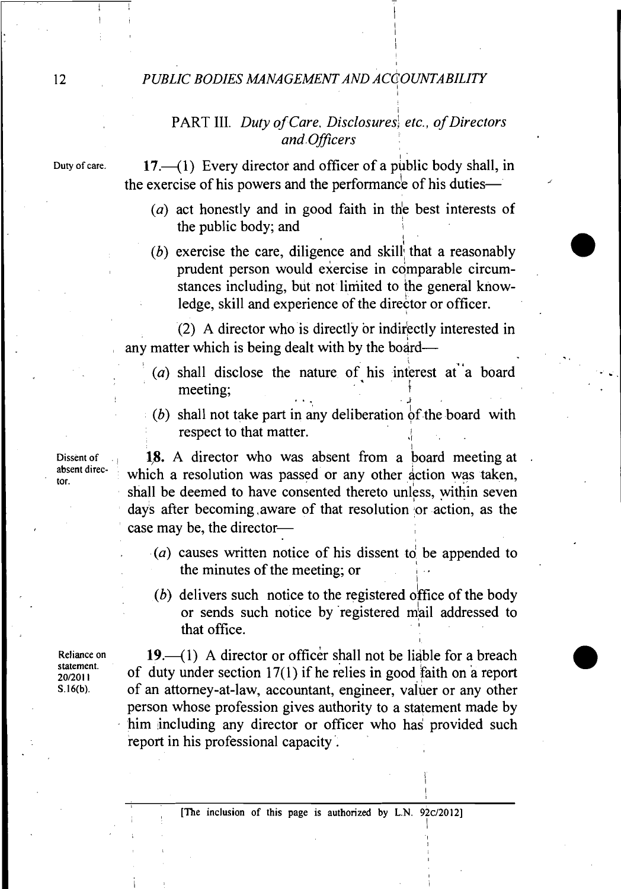#### 12 *PUBLIC BODIES MANAGEMENT AND ACCOUNTABILITY*

# *PART* 111. *Duty of Care, Disclosures.! etc., of Directors and .Officers*

Duty of care. **17.** (1) Every director and officer of a public body shall, in the exercise of his powers and the performance of his duties--

- *(a)* act honestly and in good faith in the best interests of the public body; and I
- (b) exercise the care, diligence and skill that a reasonably prudent person would exercise in comparable circumstances including, but not limited to the general knowledge, skill and experience of the director or officer.

(2) A director who is directly or indirectly interested in any matter which is being dealt with by the board—

- (*a*) shall disclose the nature of his interest at a board meeting;
	- (b) shall not take part in any deliberation of the board with respect to that matter.

**J.** 

1

I

Dissent of **18.** A director who was absent from a board meeting at absent direc-<br>absent direc-<br>**Absent director.** which a resolution was passed or any other action was taken, shall be deemed to have consented thereto unless, within seven days after becoming aware of that resolution or action, as the case may be, the director-

- (a) causes written notice of his dissent to be appended to the minutes of the meeting; or I
- (b) delivers such notice to the registered office of the body or sends such notice by registered mail addressed to that office.

Reliance on **19.**-(1) A director or officer shall not be liable for a breach statement. statement. of duty under section 17(1) if he relies in good faith on a report **s 16(b)** of an attorney-at-law, accountant, engineer, valuer or any other person whose profession gives authority to a statement made by him including any director or officer who has provided such report in his professional capacity .